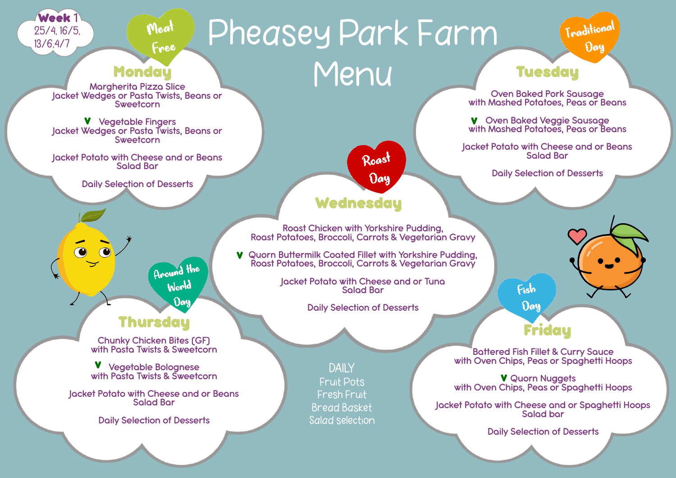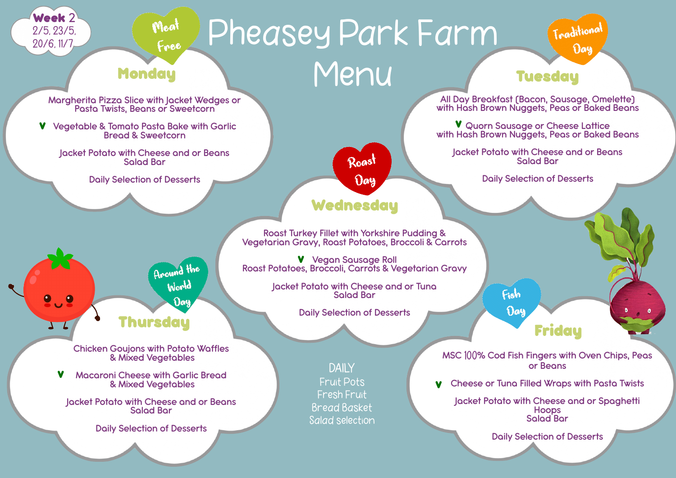